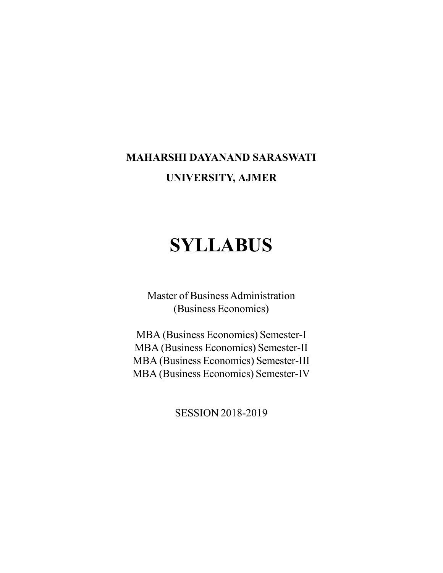# **MAHARSHI DAYANAND SARASWATI UNIVERSITY, AJMER**

# **SYLLABUS**

Master of Business Administration (Business Economics)

MBA (Business Economics) Semester-I MBA (Business Economics) Semester-II MBA (Business Economics) Semester-III MBA (Business Economics) Semester-IV

SESSION 2018-2019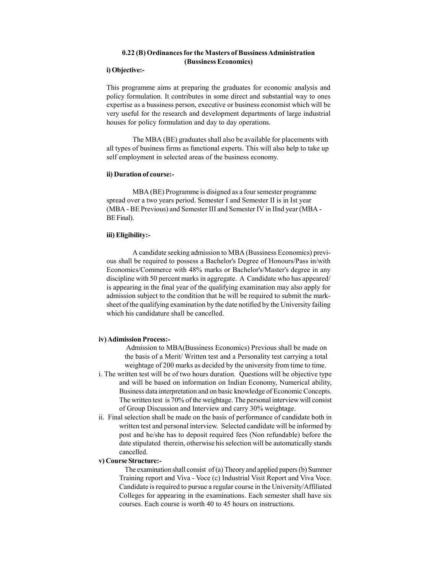#### **0.22 (B) Ordinances for the Masters of Bussiness Administration (Bussiness Economics)**

#### **i) Objective:-**

This programme aims at preparing the graduates for economic analysis and policy formulation. It contributes in some direct and substantial way to ones expertise as a bussiness person, executive or business economist which will be very useful for the research and development departments of large industrial houses for policy formulation and day to day operations.

The MBA (BE) graduates shall also be available for placements with all types of business firms as functional experts. This will also help to take up self employment in selected areas of the business economy.

### **ii) Duration of course:-**

MBA (BE) Programme is disigned as a four semester programme spread over a two years period. Semester I and Semester II is in Ist year (MBA - BE Previous) and Semester III and Semester IV in IInd year (MBA - BE Final).

# **iii) Eligibility:-**

A candidate seeking admission to MBA (Bussiness Economics) previous shall be required to possess a Bachelor's Degree of Honours/Pass in/with Economics/Commerce with 48% marks or Bachelor's/Master's degree in any discipline with 50 percent marks in aggregate. A Candidate who has appeared/ is appearing in the final year of the qualifying examination may also apply for admission subject to the condition that he will be required to submit the marksheet of the qualifying examination by the date notified by the University failing which his candidature shall be cancelled.

#### **iv) Adimission Process:-**

 Admission to MBA(Bussiness Economics) Previous shall be made on the basis of a Merit/ Written test and a Personality test carrying a total weightage of 200 marks as decided by the university from time to time.

- i. The written test will be of two hours duration. Questions will be objective type and will be based on information on Indian Economy, Numerical ability, Business data interpretation and on basic knowledge of Economic Concepts. The written test is 70% of the weightage. The personal interview will consist of Group Discussion and Interview and carry 30% weightage.
- ii. Final selection shall be made on the basis of performance of candidate both in written test and personal interview. Selected candidate will be informed by post and he/she has to deposit required fees (Non refundable) before the date stipulated therein, otherwise his selection will be automatically stands cancelled.

#### **v) Course Structure:-**

The examination shall consist of (a) Theory and applied papers (b) Summer Training report and Viva - Voce (c) Industrial Visit Report and Viva Voce. Candidate is required to pursue a regular course in the University/Affiliated Colleges for appearing in the examinations. Each semester shall have six courses. Each course is worth 40 to 45 hours on instructions.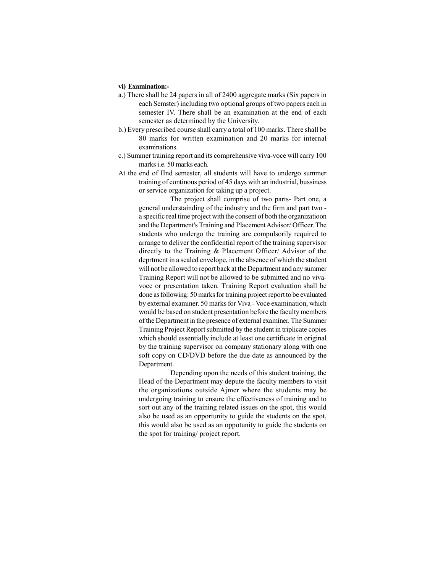#### **vi) Examination:-**

- a.) There shall be 24 papers in all of 2400 aggregate marks (Six papers in each Semster) including two optional groups of two papers each in semester IV. There shall be an examination at the end of each semester as determined by the University.
- b.) Every prescribed course shall carry a total of 100 marks. There shall be 80 marks for written examination and 20 marks for internal examinations.
- c.) Summer training report and its comprehensive viva-voce will carry 100 marks i.e. 50 marks each.
- At the end of IInd semester, all students will have to undergo summer training of continous period of 45 days with an industrial, bussiness or service organization for taking up a project.

The project shall comprise of two parts- Part one, a general understainding of the industry and the firm and part two a specific real time project with the consent of both the organizatioon and the Department's Training and Placement Advisor/ Officer. The students who undergo the training are compulsorily required to arrange to deliver the confidential report of the training supervisor directly to the Training & Placement Officer/ Advisor of the deprtment in a sealed envelope, in the absence of which the student will not be allowed to report back at the Department and any summer Training Report will not be allowed to be submitted and no vivavoce or presentation taken. Training Report evaluation shall be done as following: 50 marks for training project report to be evaluated by external examiner. 50 marks for Viva - Voce examination, which would be based on student presentation before the faculty members of the Department in the presence of external examiner. The Summer Training Project Report submitted by the student in triplicate copies which should essentially include at least one certificate in original by the training supervisor on company stationary along with one soft copy on CD/DVD before the due date as announced by the Department.

Depending upon the needs of this student training, the Head of the Department may depute the faculty members to visit the organizations outside Ajmer where the students may be undergoing training to ensure the effectiveness of training and to sort out any of the training related issues on the spot, this would also be used as an opportunity to guide the students on the spot, this would also be used as an oppotunity to guide the students on the spot for training/ project report.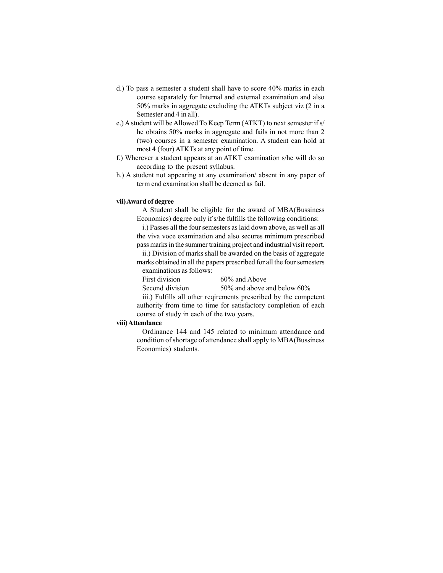- d.) To pass a semester a student shall have to score 40% marks in each course separately for Internal and external examination and also 50% marks in aggregate excluding the ATKTs subject viz (2 in a Semester and 4 in all).
- e.) A student will be Allowed To Keep Term (ATKT) to next semester if s/ he obtains 50% marks in aggregate and fails in not more than 2 (two) courses in a semester examination. A student can hold at most 4 (four) ATKTs at any point of time.
- f.) Wherever a student appears at an ATKT examination s/he will do so according to the present syllabus.
- h.) A student not appearing at any examination/ absent in any paper of term end examination shall be deemed as fail.

#### **vii) Award of degree**

A Student shall be eligible for the award of MBA(Bussiness Economics) degree only if s/he fulfills the following conditions:

i.) Passes all the four semesters as laid down above, as well as all the viva voce examination and also secures minimum prescribed pass marks in the summer training project and industrial visit report.

ii.) Division of marks shall be awarded on the basis of aggregate marks obtained in all the papers prescribed for all the four semesters examinations as follows:

First division 60% and Above

Second division 50% and above and below 60%

iii.) Fulfills all other reqirements prescribed by the competent authority from time to time for satisfactory completion of each course of study in each of the two years.

#### **viii) Attendance**

Ordinance 144 and 145 related to minimum attendance and condition of shortage of attendance shall apply to MBA(Bussiness Economics) students.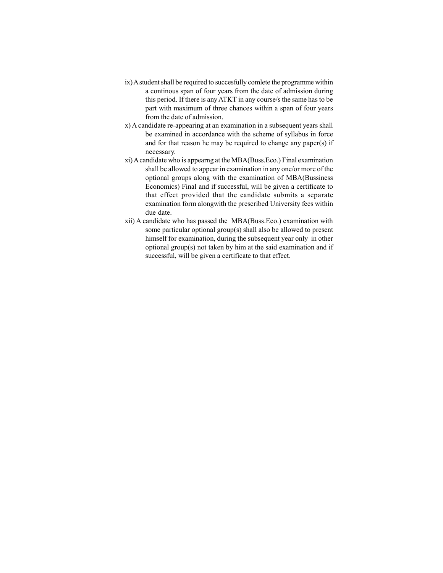- ix) A student shall be required to succesfully comlete the programme within a continous span of four years from the date of admission during this period. If there is any ATKT in any course/s the same has to be part with maximum of three chances within a span of four years from the date of admission.
- x) A candidate re-appearing at an examination in a subsequent years shall be examined in accordance with the scheme of syllabus in force and for that reason he may be required to change any paper(s) if necessary.
- xi) A candidate who is appearng at the MBA(Buss.Eco.) Final examination shall be allowed to appear in examination in any one/or more of the optional groups along with the examination of MBA(Bussiness Economics) Final and if successful, will be given a certificate to that effect provided that the candidate submits a separate examination form alongwith the prescribed University fees within due date.
- xii) A candidate who has passed the MBA(Buss.Eco.) examination with some particular optional group(s) shall also be allowed to present himself for examination, during the subsequent year only in other optional group(s) not taken by him at the said examination and if successful, will be given a certificate to that effect.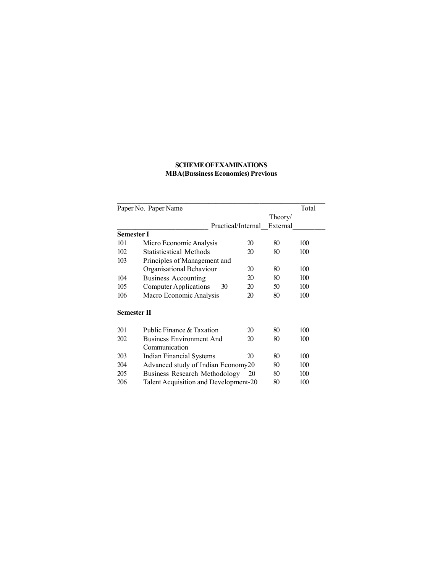# **SCHEME OF EXAMINATIONS MBA(Bussiness Economics) Previous**

| Paper No. Paper Name                         |                              |          | Total |  |
|----------------------------------------------|------------------------------|----------|-------|--|
|                                              |                              | Theory/  |       |  |
|                                              | Practical/Internal           | External |       |  |
| Semester I                                   |                              |          |       |  |
| 101<br>Micro Economic Analysis               | 20                           | 80       | 100   |  |
| <b>Statisticstical Methods</b><br>102        | 20                           | 80       | 100   |  |
| 103                                          | Principles of Management and |          |       |  |
| Organisational Behaviour                     | 20                           | 80       | 100   |  |
| <b>Business Accounting</b><br>104            | 20                           | 80       | 100   |  |
| 105<br><b>Computer Applications</b>          | 20<br>30                     | 50       | 100   |  |
| Macro Economic Analysis<br>106               | 20                           | 80       | 100   |  |
| <b>Semester II</b>                           |                              |          |       |  |
| 201<br>Public Finance & Taxation             | 20                           | 80       | 100   |  |
| <b>Business Environment And</b><br>202       | 20                           | 80       | 100   |  |
| Communication                                |                              |          |       |  |
| 203<br>Indian Financial Systems              | 20                           | 80       | 100   |  |
| Advanced study of Indian Economy20<br>204    |                              | 80       | 100   |  |
| 205<br><b>Business Research Methodology</b>  | 20                           | 80       | 100   |  |
| Talent Acquisition and Development-20<br>206 |                              | 80       | 100   |  |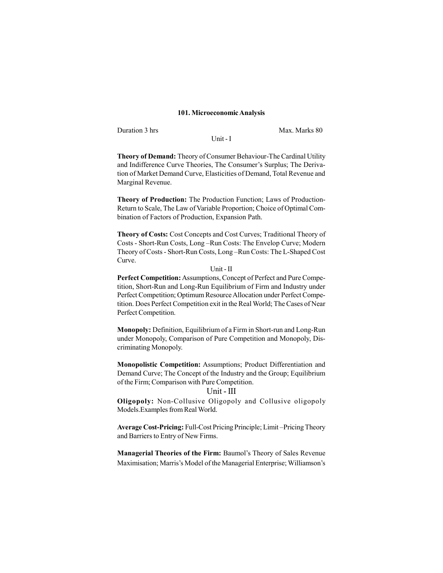#### **101. Microeconomic Analysis**

Duration 3 hrs Max. Marks 80

Unit - I

**Theory of Demand:** Theory of Consumer Behaviour-The Cardinal Utility and Indifference Curve Theories, The Consumer's Surplus; The Derivation of Market Demand Curve, Elasticities of Demand, Total Revenue and Marginal Revenue.

**Theory of Production:** The Production Function; Laws of Production-Return to Scale, The Law of Variable Proportion; Choice of Optimal Combination of Factors of Production, Expansion Path.

**Theory of Costs:** Cost Concepts and Cost Curves; Traditional Theory of Costs - Short-Run Costs, Long –Run Costs: The Envelop Curve; Modern Theory of Costs - Short-Run Costs, Long –Run Costs: The L-Shaped Cost Curve.

#### Unit - II

**Perfect Competition:** Assumptions, Concept of Perfect and Pure Competition, Short-Run and Long-Run Equilibrium of Firm and Industry under Perfect Competition; Optimum Resource Allocation under Perfect Competition. Does Perfect Competition exit in the Real World; The Cases of Near Perfect Competition.

**Monopoly:** Definition, Equilibrium of a Firm in Short-run and Long-Run under Monopoly, Comparison of Pure Competition and Monopoly, Discriminating Monopoly.

**Monopolistic Competition:** Assumptions; Product Differentiation and Demand Curve; The Concept of the Industry and the Group; Equilibrium of the Firm; Comparison with Pure Competition.

## Unit - III

**Oligopoly:** Non-Collusive Oligopoly and Collusive oligopoly Models.Examples from Real World.

**Average Cost-Pricing:** Full-Cost Pricing Principle; Limit –Pricing Theory and Barriers to Entry of New Firms.

**Managerial Theories of the Firm:** Baumol's Theory of Sales Revenue Maximisation; Marris's Model of the Managerial Enterprise; Williamson's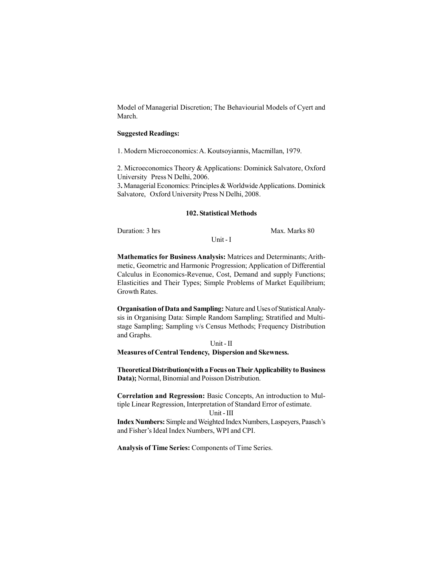Model of Managerial Discretion; The Behaviourial Models of Cyert and March.

#### **Suggested Readings:**

1. Modern Microeconomics: A. Koutsoyiannis, Macmillan, 1979.

2. Microeconomics Theory & Applications: Dominick Salvatore, Oxford University Press N Delhi, 2006.

3**.** Managerial Economics: Principles & Worldwide Applications. Dominick Salvatore, Oxford University Press N Delhi, 2008.

#### **102. Statistical Methods**

Duration: 3 hrs Max. Marks 80

Unit - I

**Mathematics for Business Analysis:** Matrices and Determinants; Arithmetic, Geometric and Harmonic Progression; Application of Differential Calculus in Economics-Revenue, Cost, Demand and supply Functions; Elasticities and Their Types; Simple Problems of Market Equilibrium; Growth Rates.

**Organisation of Data and Sampling:** Nature and Uses of Statistical Analysis in Organising Data: Simple Random Sampling; Stratified and Multistage Sampling; Sampling v/s Census Methods; Frequency Distribution and Graphs.

# Unit - II

#### **Measures of Central Tendency, Dispersion and Skewness.**

**Theoretical Distribution(with a Focus on Their Applicability to Business Data);** Normal, Binomial and Poisson Distribution.

**Correlation and Regression:** Basic Concepts, An introduction to Multiple Linear Regression, Interpretation of Standard Error of estimate.

# Unit - III

**Index Numbers:** Simple and Weighted Index Numbers, Laspeyers, Paasch's and Fisher's Ideal Index Numbers, WPI and CPI.

**Analysis of Time Series:** Components of Time Series.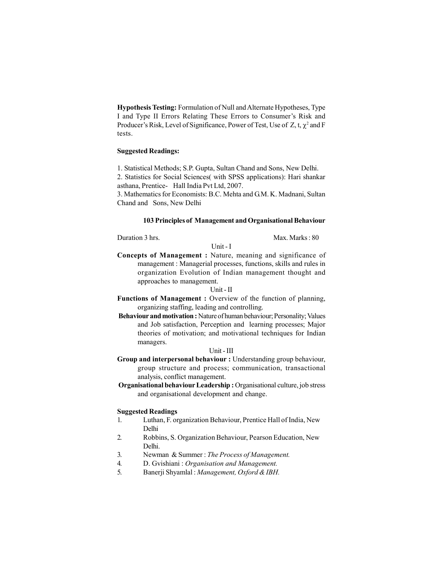**Hypothesis Testing:** Formulation of Null and Alternate Hypotheses, Type I and Type II Errors Relating These Errors to Consumer's Risk and Producer's Risk, Level of Significance, Power of Test, Use of Z, t,  $\chi^2$  and F tests.

# **Suggested Readings:**

1. Statistical Methods; S.P. Gupta, Sultan Chand and Sons, New Delhi. 2. Statistics for Social Sciences( with SPSS applications): Hari shankar asthana, Prentice- Hall India Pvt Ltd, 2007.

3. Mathematics for Economists: B.C. Mehta and G.M. K. Madnani, Sultan Chand and Sons, New Delhi

#### **103 Principles of Management and Organisational Behaviour**

Duration 3 hrs. Max. Marks : 80

**Concepts of Management :** Nature, meaning and significance of management : Managerial processes, functions, skills and rules in organization Evolution of Indian management thought and approaches to management.

Unit - I

#### Unit - II

- **Functions of Management :** Overview of the function of planning, organizing staffing, leading and controlling.
- **Behaviour and motivation :** Nature of human behaviour; Personality; Values and Job satisfaction, Perception and learning processes; Major theories of motivation; and motivational techniques for Indian managers.

#### Unit - III

- **Group and interpersonal behaviour :** Understanding group behaviour, group structure and process; communication, transactional analysis, conflict management.
- **Organisational behaviour Leadership :** Organisational culture, job stress and organisational development and change.

- 1. Luthan, F. organization Behaviour, Prentice Hall of India, New Delhi
- 2. Robbins, S. Organization Behaviour, Pearson Education, New Delhi.
- 3. Newman & Summer : *The Process of Management.*
- 4. D. Gvishiani : *Organisation and Management.*
- 5. Banerji Shyamlal : *Management, Oxford & IBH.*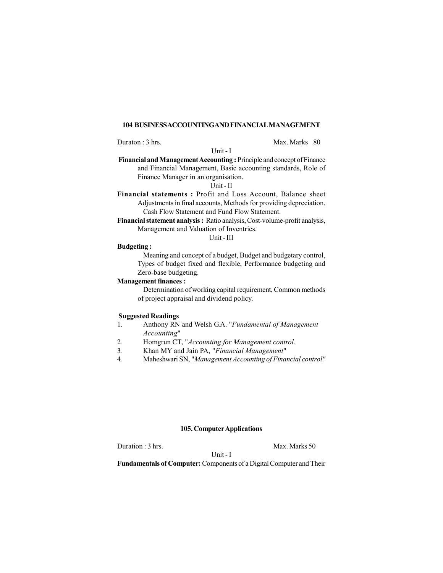#### **104 BUSINESS ACCOUNTING AND FINANCIAL MANAGEMENT**

Unit - I

Duraton : 3 hrs. Max. Marks 80

 **Financial and Management Accounting :** Principle and concept of Finance and Financial Management, Basic accounting standards, Role of Finance Manager in an organisation.

Unit - II

- **Financial statements :** Profit and Loss Account, Balance sheet Adjustments in final accounts, Methods for providing depreciation. Cash Flow Statement and Fund Flow Statement.
- **Financial statement analysis :** Ratio analysis, Cost-volume-profit analysis, Management and Valuation of Inventries.

Unit - III

### **Budgeting :**

Meaning and concept of a budget, Budget and budgetary control, Types of budget fixed and flexible, Performance budgeting and Zero-base budgeting.

# **Management finances :**

Determination of working capital requirement, Common methods of project appraisal and dividend policy.

#### **Suggested Readings**

- 1. Anthony RN and Welsh G.A. "*Fundamental of Management Accounting*"
- 2. Homgrun CT, "*Accounting for Management control.*
- 3. Khan MY and Jain PA, "*Financial Management*"
- 4. Maheshwari SN, "*Management Accounting of Financial control"*

# **105. Computer Applications**

Duration : 3 hrs. Max. Marks 50

Unit - I

**Fundamentals of Computer:** Components of a Digital Computer and Their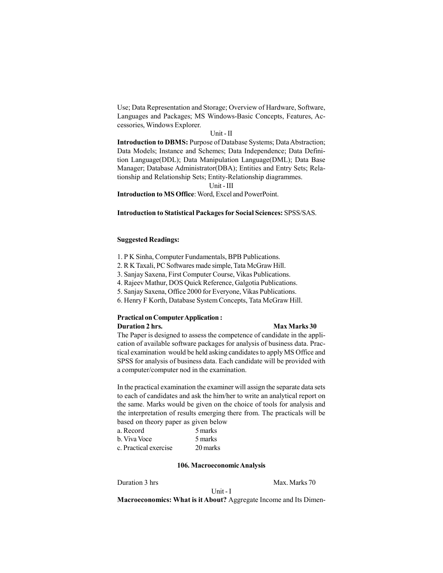Use; Data Representation and Storage; Overview of Hardware, Software, Languages and Packages; MS Windows-Basic Concepts, Features, Accessories, Windows Explorer.

#### Unit - II

**Introduction to DBMS:** Purpose of Database Systems; Data Abstraction; Data Models; Instance and Schemes; Data Independence; Data Definition Language(DDL); Data Manipulation Language(DML); Data Base Manager; Database Administrator(DBA); Entities and Entry Sets; Relationship and Relationship Sets; Entity-Relationship diagrammes.

Unit - III

**Introduction to MS Office**: Word, Excel and PowerPoint.

#### **Introduction to Statistical Packages for Social Sciences:** SPSS/SAS.

#### **Suggested Readings:**

- 1. P K Sinha, Computer Fundamentals, BPB Publications.
- 2. R K Taxali, PC Softwares made simple, Tata McGraw Hill.
- 3. Sanjay Saxena, First Computer Course, Vikas Publications.
- 4. Rajeev Mathur, DOS Quick Reference, Galgotia Publications.
- 5. Sanjay Saxena, Office 2000 for Everyone, Vikas Publications.
- 6. Henry F Korth, Database System Concepts, Tata McGraw Hill.

#### **Practical on Computer Application : Duration 2 hrs.** Max Marks 30

The Paper is designed to assess the competence of candidate in the application of available software packages for analysis of business data. Practical examination would be held asking candidates to apply MS Office and SPSS for analysis of business data. Each candidate will be provided with a computer/computer nod in the examination.

In the practical examination the examiner will assign the separate data sets to each of candidates and ask the him/her to write an analytical report on the same. Marks would be given on the choice of tools for analysis and the interpretation of results emerging there from. The practicals will be based on theory paper as given below

| a. Record             | 5 marks  |
|-----------------------|----------|
| b. Viva Voce          | 5 marks  |
| c. Practical exercise | 20 marks |

#### **106. Macroeconomic Analysis**

Duration 3 hrs Max. Marks 70

Unit - I

**Macroeconomics: What is it About?** Aggregate Income and Its Dimen-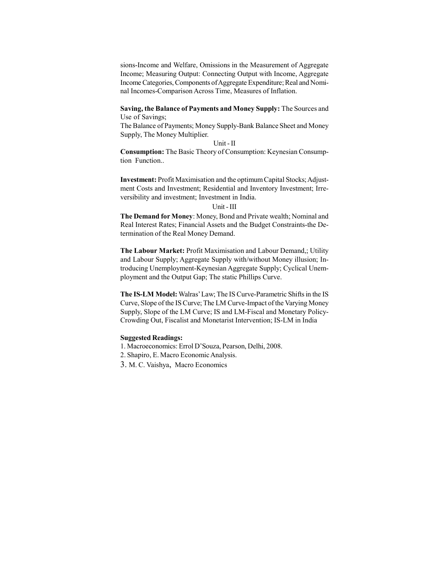sions-Income and Welfare, Omissions in the Measurement of Aggregate Income; Measuring Output: Connecting Output with Income, Aggregate Income Categories, Components of Aggregate Expenditure; Real and Nominal Incomes-Comparison Across Time, Measures of Inflation.

**Saving, the Balance of Payments and Money Supply:** The Sources and Use of Savings;

The Balance of Payments; Money Supply-Bank Balance Sheet and Money Supply, The Money Multiplier.

#### Unit - II

**Consumption:** The Basic Theory of Consumption: Keynesian Consumption Function..

**Investment:** Profit Maximisation and the optimum Capital Stocks; Adjustment Costs and Investment; Residential and Inventory Investment; Irreversibility and investment; Investment in India.

#### Unit - III

**The Demand for Money**: Money, Bond and Private wealth; Nominal and Real Interest Rates; Financial Assets and the Budget Constraints-the Determination of the Real Money Demand.

**The Labour Market:** Profit Maximisation and Labour Demand,; Utility and Labour Supply; Aggregate Supply with/without Money illusion; Introducing Unemployment-Keynesian Aggregate Supply; Cyclical Unemployment and the Output Gap; The static Phillips Curve.

**The IS-LM Model:** Walras' Law; The IS Curve-Parametric Shifts in the IS Curve, Slope of the IS Curve; The LM Curve-Impact of the Varying Money Supply, Slope of the LM Curve; IS and LM-Fiscal and Monetary Policy-Crowding Out, Fiscalist and Monetarist Intervention; IS-LM in India

- 1. Macroeconomics: Errol D'Souza, Pearson, Delhi, 2008.
- 2. Shapiro, E. Macro Economic Analysis.
- 3. M. C. Vaishya, Macro Economics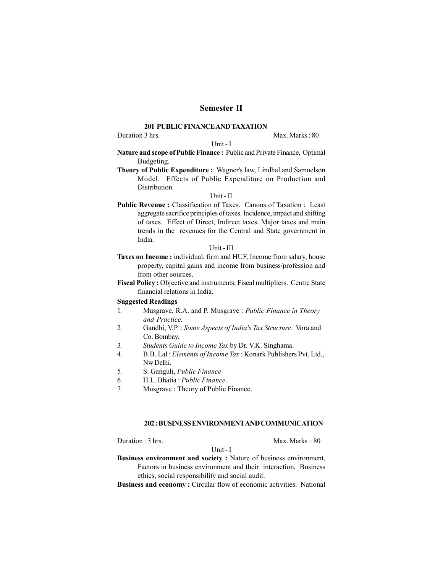# **Semester II**

#### **201 PUBLIC FINANCE AND TAXATION**

Duration 3 hrs. Max. Marks : 80

### Unit - I

**Nature and scope of Public Finance :** Public and Private Finance, Optimal Budgeting.

**Theory of Public Expenditure :** Wagner's law, Lindhal and Samuelson Model. Effects of Public Expenditure on Production and Distribution.

#### Unit - II

**Public Revenue :** Classification of Taxes. Canons of Taxation : Least aggregate sacrifice principles of taxes. Incidence, impact and shifting of taxes. Effect of Direct, Indirect taxes. Major taxes and main trends in the revenues for the Central and State government in India.

#### Unit - III

- **Taxes on Income :** individual, firm and HUF, Income from salary, house property, capital gains and income from business/profession and from other sources.
- **Fiscal Policy :** Objective and instruments; Fiscal multipliers. Centre State financial relations in India.

#### **Suggested Readings**

- 1. Musgrave, R.A. and P. Musgrave : *Public Finance in Theory and Practice.*
- 2. Gandhi, V.P. : *Some Aspects of India's Tax Structure*. Vora and Co. Bombay.
- 3. *Students Guide to Income Tax* by Dr. V.K. Singhama.
- 4. B.B. Lal : *Elements of Income Tax* : Konark Publishers Pvt. Ltd., Nw Delhi.
- 5. S. Ganguli, *Public Finance*
- 6. H.L. Bhatia : *Public Finance*.
- 7. Musgrave : Theory of Public Finance.

#### **202 : BUSINESS ENVIRONMENT AND COMMUNICATION**

Duration : 3 hrs. Max. Marks : 80

**Business environment and society :** Nature of business environment, Factors in business environment and their interaction, Business ethics, social responsibility and social audit.

Unit - I

**Business and economy :** Circular flow of economic activities. National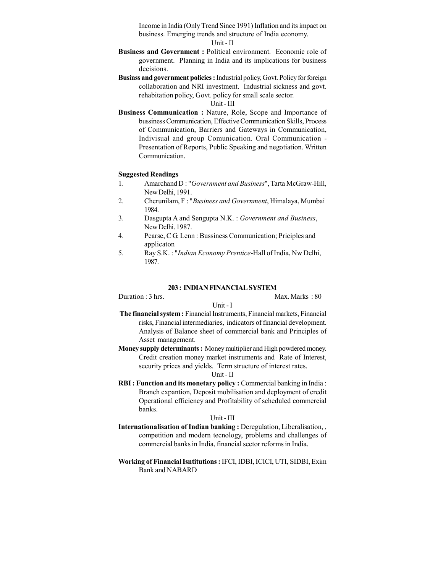Income in India (Only Trend Since 1991) Inflation and its impact on business. Emerging trends and structure of India economy.

Unit - II

- **Business and Government :** Political environment. Economic role of government. Planning in India and its implications for business decisions.
- **Businss and government policies :** Industrial policy, Govt. Policy for foreign collaboration and NRI investment. Industrial sickness and govt. rehabitation policy, Govt. policy for small scale sector.

Unit - III

**Business Communication :** Nature, Role, Scope and Importance of bussiness Communication, Effective Communication Skills, Process of Communication, Barriers and Gateways in Communication, Indivisual and group Comunication. Oral Communication - Presentation of Reports, Public Speaking and negotiation. Written Communication.

#### **Suggested Readings**

- 1. Amarchand D : "*Government and Business*", Tarta McGraw-Hill, New Delhi, 1991.
- 2. Cherunilam, F : "*Business and Government*, Himalaya, Mumbai 1984.
- 3. Dasgupta A and Sengupta N.K. : *Government and Business*, New Delhi. 1987.
- 4. Pearse, C G. Lenn : Bussiness Communication; Priciples and applicaton
- 5. Ray S.K. : "*Indian Economy Prentice*-Hall of India, Nw Delhi, 1987.

#### **203 : INDIAN FINANCIAL SYSTEM**

Duration : 3 hrs. Max. Marks : 80

Unit - I

 **The financial system :** Financial Instruments, Financial markets, Financial risks, Financial intermediaries, indicators of financial development. Analysis of Balance sheet of commercial bank and Principles of Asset management.

**Money supply determinants :** Money multiplier and High powdered money. Credit creation money market instruments and Rate of Interest, security prices and yields. Term structure of interest rates.

#### Unit - II

**RBI : Function and its monetary policy :** Commercial banking in India : Branch expantion, Deposit mobilisation and deployment of credit Operational efficiency and Profitability of scheduled commercial banks.

#### Unit - III

- **Internationalisation of Indian banking : Deregulation, Liberalisation, ,** competition and modern tecnology, problems and challenges of commercial banks in India, financial sector reforms in India.
- **Working of Financial Isntitutions :** IFCI, IDBI, ICICI, UTI, SIDBI, Exim Bank and NABARD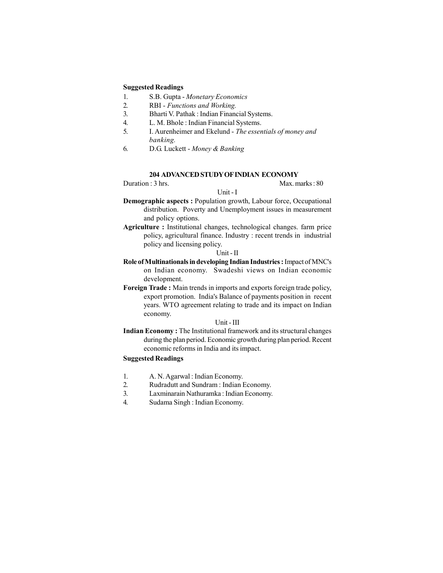#### **Suggested Readings**

- 1. S.B. Gupta *Monetary Economics*
- 2. RBI *Functions and Working.*
- 3. Bharti V. Pathak : Indian Financial Systems.
- 4. L. M. Bhole : Indian Financial Systems.
- 5. I. Aurenheimer and Ekelund *The essentials of money and banking.*
- 6. D.G. Luckett *Money & Banking*

#### **204 ADVANCED STUDY OF INDIAN ECONOMY**

Duration : 3 hrs. Max. marks : 80

# Unit - I

- **Demographic aspects :** Population growth, Labour force, Occupational distribution. Poverty and Unemployment issues in measurement and policy options.
- **Agriculture :** Institutional changes, technological changes. farm price policy, agricultural finance. Industry : recent trends in industrial policy and licensing policy.

#### Unit - II

- **Role of Multinationals in developing Indian Industries :** Impact of MNC's on Indian economy. Swadeshi views on Indian economic development.
- **Foreign Trade :** Main trends in imports and exports foreign trade policy, export promotion. India's Balance of payments position in recent years. WTO agreement relating to trade and its impact on Indian economy.

#### Unit - III

**Indian Economy :** The Institutional framework and its structural changes during the plan period. Economic growth during plan period. Recent economic reforms in India and its impact.

- 1. A. N. Agarwal : Indian Economy.
- 2. Rudradutt and Sundram : Indian Economy.
- 3. Laxminarain Nathuramka : Indian Economy.
- 4. Sudama Singh : Indian Economy.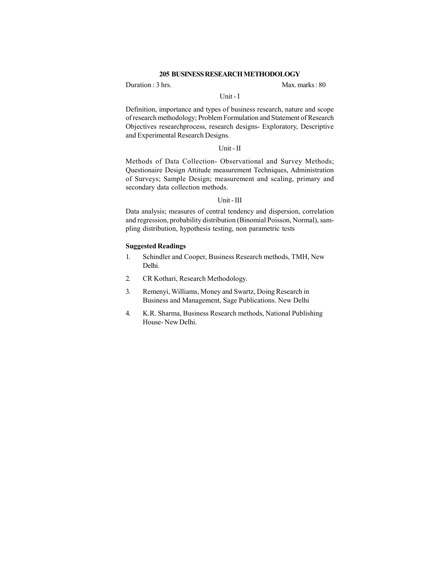#### **205 BUSINESS RESEARCH METHODOLOGY**

Duration : 3 hrs. Max. marks : 80

#### Unit - I

Definition, importance and types of business research, nature and scope of research methodology; Problem Formulation and Statement of Research Objectives researchprocess, research designs- Exploratory, Descriptive and Experimental Research Designs.

#### Unit - II

Methods of Data Collection- Observational and Survey Methods; Questionaire Design Attitude measurement Techniques, Administration of Surveys; Sample Design; measurement and scaling, primary and secondary data collection methods.

#### Unit - III

Data analysis; measures of central tendency and dispersion, correlation and regression, probability distribution (Binomial Poisson, Normal), sampling distribution, hypothesis testing, non parametric tests

- 1. Schindler and Cooper, Business Research methods, TMH, New Delhi.
- 2. CR Kothari, Research Methodology.
- 3. Remenyi, Williams, Money and Swartz, Doing Research in Business and Management, Sage Publications. New Delhi
- 4. K.R. Sharma, Business Research methods, National Publishing House- New Delhi.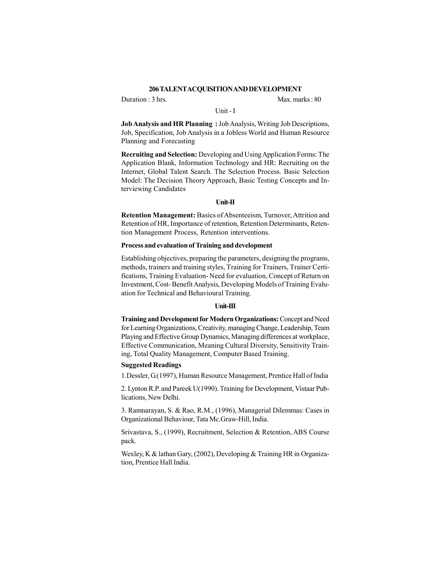#### **206 TALENT ACQUISITION AND DEVELOPMENT**

Duration : 3 hrs. Max. marks : 80

#### Unit - I

**Job Analysis and HR Planning :** Job Analysis, Writing Job Descriptions, Job, Specification, Job Analysis in a Jobless World and Human Resource Planning and Forecasting

**Recruiting and Selection:** Developing and Using Application Forms: The Application Blank, Information Technology and HR: Recruiting on the Internet, Global Talent Search. The Selection Process. Basic Selection Model: The Decision Theory Approach, Basic Testing Concepts and Interviewing Candidates

#### **Unit-II**

**Retention Management:** Basics of Absenteeism, Turnover, Attrition and Retention of HR, Importance of retention, Retention Determinants, Retention Management Process, Retention interventions.

#### **Process and evaluation of Training and development**

Establishing objectives, preparing the parameters, designing the programs, methods, trainers and training styles, Training for Trainers, Trainer Certifications, Training Evaluation- Need for evaluation, Concept of Return on Investment, Cost- Benefit Analysis, Developing Models of Training Evaluation for Technical and Behavioural Training.

#### **Unit-III**

**Training and Development for Modern Organizations:** Concept and Need for Learning Organizations, Creativity, managing Change, Leadership, Team Playing and Effective Group Dynamics, Managing differences at workplace, Effective Communication, Meaning Cultural Diversity, Sensitivity Training, Total Quality Management, Computer Based Training.

#### **Suggested Readings**

1.Dessler, G.(1997), Human Resource Management, Prentice Hall of India

2. Lynton R.P. and Pareek U(1990). Training for Development, Vistaar Publications, New Delhi.

3. Ramnarayan, S. & Rao, R.M., (1996), Managerial Dilemmas: Cases in Organizational Behaviour, Tata Mc.Graw-Hill, India.

Srivastava, S., (1999), Recruitment, Selection & Retention, ABS Course pack.

Wexley, K & lathan Gary, (2002), Developing & Training HR in Organization, Prentice Hall India.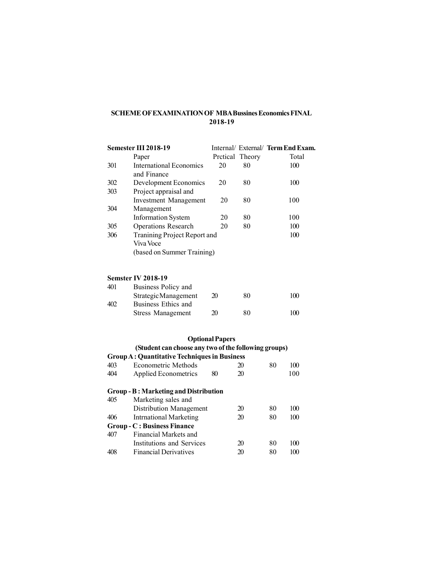# **SCHEME OF EXAMINATION OF MBA Bussines Economics FINAL 2018-19**

|     | Semester III 2018-19                                 |                        |                 | Internal/ External/ Term End Exam. |
|-----|------------------------------------------------------|------------------------|-----------------|------------------------------------|
|     | Paper                                                |                        | Pretical Theory | Total                              |
| 301 | <b>International Economics</b><br>and Finance        | 20                     | 80              | 100                                |
| 302 | Development Economics                                | 20                     | 80              | 100                                |
| 303 | Project appraisal and                                |                        |                 |                                    |
|     | <b>Investment Management</b>                         | 20                     | 80              | 100                                |
| 304 | Management                                           |                        |                 |                                    |
|     | <b>Information System</b>                            | 20                     | 80              | 100                                |
| 305 | <b>Operations Research</b>                           | 20                     | 80              | 100                                |
| 306 | Tranining Project Report and                         |                        |                 | 100                                |
|     | Viva Voce                                            |                        |                 |                                    |
|     | (based on Summer Training)                           |                        |                 |                                    |
|     | <b>Semster IV 2018-19</b>                            |                        |                 |                                    |
| 401 | Business Policy and                                  |                        |                 |                                    |
|     | Strategic Management                                 | 20                     | 80              | 100                                |
| 402 | Business Ethics and                                  |                        |                 |                                    |
|     | <b>Stress Management</b>                             | 20                     | 80              | 100                                |
|     |                                                      | <b>Optional Papers</b> |                 |                                    |
|     | (Student can choose any two of the following groups) |                        |                 |                                    |
|     | <b>Group A: Quantitative Techniques in Business</b>  |                        |                 |                                    |

|     | Group A: Quantitative Techniques in Business |    |    |    |     |
|-----|----------------------------------------------|----|----|----|-----|
| 403 | Econometric Methods                          |    | 20 | 80 | 100 |
| 404 | Applied Econometrics                         | 80 | 20 |    | 100 |

# **Group - B : Marketing and Distribution**

| Marketing sales and                |    |    |     |  |
|------------------------------------|----|----|-----|--|
| Distribution Management            | 20 | 80 | 100 |  |
| <b>Intrnational Marketing</b>      | 20 | 80 | 100 |  |
| <b>Group - C: Business Finance</b> |    |    |     |  |
| Financial Markets and              |    |    |     |  |
| Institutions and Services          | 20 | 80 | 100 |  |
| <b>Financial Derivatives</b>       | 20 | 80 | 100 |  |
|                                    |    |    |     |  |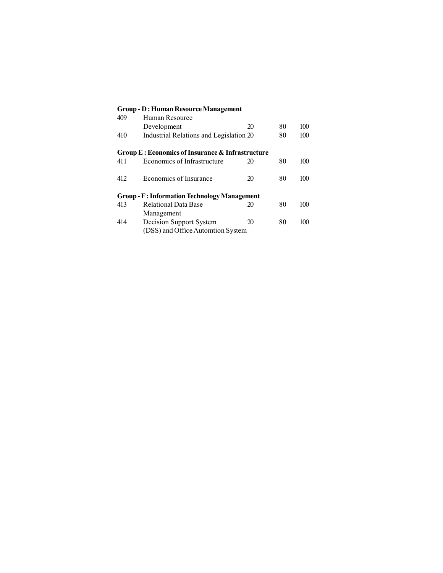# **Group - D: Human Resource Management**<br>409 Human Resource Human Resource Development 20 80 100<br>Industrial Relations and Legislation 20 80 100 410 Industrial Relations and Legislation 20 **Group E : Economics of Insurance & Infrastructure** 411 Economics of Infrastructure 20 80 100 412 Economics of Insurance 20 80 100 **Group - F : Information Technology Management**<br>413 Relational Data Base 20 Relational Data Base 20 80 100 Management 414 Decision Support System 20 80 100 (DSS) and Office Automtion System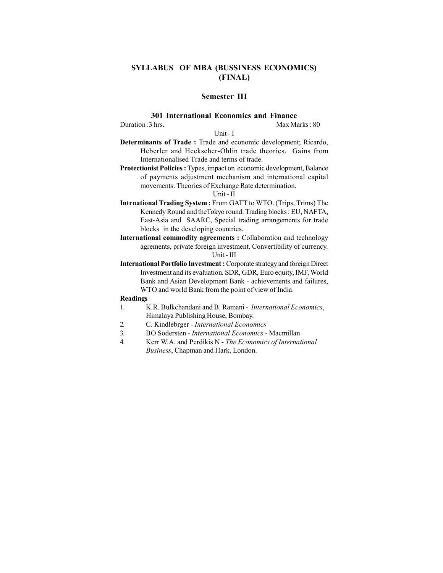# **SYLLABUS OF MBA (BUSSINESS ECONOMICS) (FINAL)**

# **Semester III**

# **301 International Economics and Finance**

Duration :3 hrs. Max Marks : 80

#### Unit - I

- **Determinants of Trade :** Trade and economic development; Ricardo, Heberler and Heckscher-Ohlin trade theories. Gains from Internationalised Trade and terms of trade.
- **Protectionist Policies :** Types, impact on economic development, Balance of payments adjustment mechanism and international capital movements. Theories of Exchange Rate determination.

#### Unit - II

- **Intrnational Trading System :** From GATT to WTO. (Trips, Trims) The Kennedy Round and theTokyo round. Trading blocks : EU, NAFTA, East-Asia and SAARC, Special trading arrangements for trade blocks in the developing countries.
- **International commodity agreements :** Collaboration and technology agrements, private foreign investment. Convertibility of currency. Unit - III
- **International Portfolio Investment :** Corporate strategy and foreign Direct Investment and its evaluation. SDR, GDR, Euro equity, IMF, World Bank and Asian Development Bank - achievements and failures, WTO and world Bank from the point of view of India.

#### **Readings**

- 1. K.R. Bulkchandani and B. Ramani *International Economics*, Himalaya Publishing House, Bombay.
- 2. C. Kindlebrger *International Economics*
- 3. BO Sodersten *International Economics*  Macmillan
- 4. Kerr W.A. and Perdikis N *The Economics of International Business*, Chapman and Hark, London.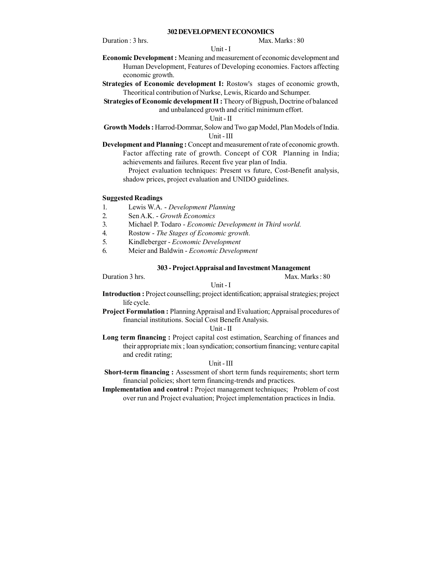#### **302 DEVELOPMENT ECONOMICS**

Duration : 3 hrs. Max. Marks : 80

#### Unit - I

- **Economic Development :** Meaning and measurement of economic development and Human Development, Features of Developing economies. Factors affecting economic growth.
- **Strategies of Economic development I:** Rostow's stages of economic growth, Theoritical contribution of Nurkse, Lewis, Ricardo and Schumper.
- **Strategies of Economic development II :** Theory of Bigpush, Doctrine of balanced and unbalanced growth and criticl minimum effort.

# Unit - II

- **Growth Models :** Harrod-Dommar, Solow and Two gap Model, Plan Models of India. Unit - III
- **Development and Planning :** Concept and measurement of rate of economic growth. Factor affecting rate of growth. Concept of COR Planning in India; achievements and failures. Recent five year plan of India.

Project evaluation techniques: Present vs future, Cost-Benefit analysis, shadow prices, project evaluation and UNIDO guidelines.

#### **Suggested Readings**

- 1. Lewis W.A. *Development Planning*
- 2. Sen A.K. *Growth Economics*
- 3. Michael P. Todaro *Economic Development in Third world.*
- 4. Rostow *The Stages of Economic growth.*
- 5. Kindleberger *Economic Development*
- 6. Meier and Baldwin *Economic Development*

#### **303 - Project Appraisal and Investment Management**

Duration 3 hrs. Max. Marks : 80

Unit - I

**Introduction :** Project counselling; project identification; appraisal strategies; project life cycle.

**Project Formulation :** Planning Appraisal and Evaluation; Appraisal procedures of financial institutions. Social Cost Benefit Analysis.

#### Unit - II

**Long term financing :** Project capital cost estimation, Searching of finances and their appropriate mix ; loan syndication; consortium financing; venture capital and credit rating;

#### Unit - III

**Short-term financing :** Assessment of short term funds requirements; short term financial policies; short term financing-trends and practices.

**Implementation and control :** Project management techniques; Problem of cost over run and Project evaluation; Project implementation practices in India.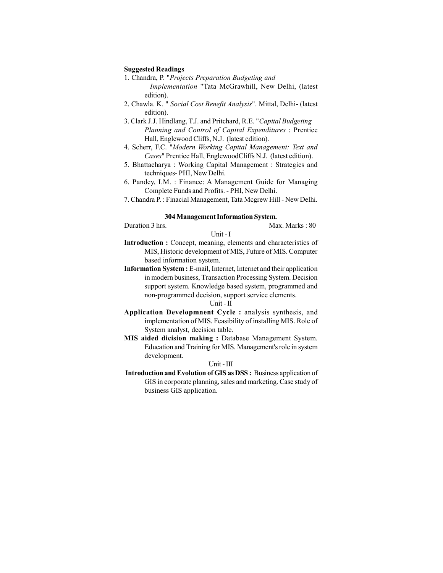#### **Suggested Readings**

- 1. Chandra, P. "*Projects Preparation Budgeting and Implementation* "Tata McGrawhill, New Delhi, (latest edition).
- 2. Chawla. K. " *Social Cost Benefit Analysis*". Mittal, Delhi- (latest edition).
- 3. Clark J.J. Hindlang, T.J. and Pritchard, R.E. "*Capital Budgeting Planning and Control of Capital Expenditures* : Prentice Hall, Englewood Cliffs, N.J. (latest edition).
- 4. Scherr, F.C. "*Modern Working Capital Management: Text and Cases*" Prentice Hall, EnglewoodCliffs N.J. (latest edition).
- 5. Bhattacharya : Working Capital Management : Strategies and techniques- PHI, New Delhi.
- 6. Pandey, I.M. : Finance: A Management Guide for Managing Complete Funds and Profits. - PHI, New Delhi.
- 7. Chandra P. : Finacial Management, Tata Mcgrew Hill New Delhi.

# **304 Management Information System.**

Duration 3 hrs. Max. Marks : 80

**Introduction :** Concept, meaning, elements and characteristics of MIS, Historic development of MIS, Future of MIS. Computer based information system.

Unit - I

**Information System :** E-mail, Internet, Internet and their application in modern business, Transaction Processing System. Decision support system. Knowledge based system, programmed and non-programmed decision, support service elements.

#### Unit - II

- **Application Developmnent Cycle :** analysis synthesis, and implementation of MIS. Feasibility of installing MIS. Role of System analyst, decision table.
- **MIS aided dicision making :** Database Management System. Education and Training for MIS. Management's role in system development.

#### Unit - III

**Introduction and Evolution of GIS as DSS :** Business application of GIS in corporate planning, sales and marketing. Case study of business GIS application.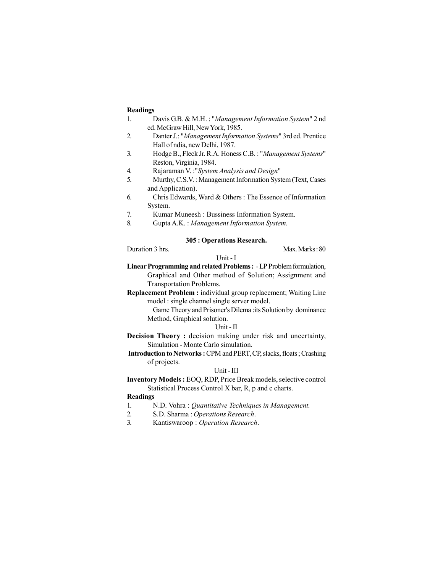#### **Readings**

- 1. Davis G.B. & M.H. : "*Management Information System*" 2 nd ed. McGraw Hill, New York, 1985.
- 2. Danter J.: "*Management Information Systems*" 3rd ed. Prentice Hall of ndia, new Delhi, 1987.
- 3. Hodge B., Fleck Jr. R.A. Honess C.B. : "*Management Systems*" Reston, Virginia, 1984.
- 4. Rajaraman V. :"*System Analysis and Design*"
- 5. Murthy, C.S.V. : Management Information System (Text, Cases and Application).
- 6. Chris Edwards, Ward & Others : The Essence of Information System.
- 7. Kumar Muneesh : Bussiness Information System.
- 8. Gupta A.K. : *Management Information System.*

#### **305 : Operations Research.**

Unit - I

Duration 3 hrs. Max. Marks : 80

- **Linear Programming and related Problems :**  LP Problem formulation, Graphical and Other method of Solution; Assignment and Transportation Problems.
- **Replacement Problem :** individual group replacement; Waiting Line model : single channel single server model.
	- Game Theory and Prisoner's Dilema :its Solution by dominance Method, Graphical solution.

#### Unit - II

**Decision Theory :** decision making under risk and uncertainty, Simulation - Monte Carlo simulation.

 **Introduction to Networks :** CPM and PERT, CP, slacks, floats ; Crashing of projects.

#### Unit - III

**Inventory Models :** EOQ, RDP, Price Break models, selective control Statistical Process Control X bar, R, p and c charts.

#### **Readings**

- 1. N.D. Vohra : *Quantitative Techniques in Management.*
- 2. S.D. Sharma : *Operations Research*.
- 3. Kantiswaroop : *Operation Research*.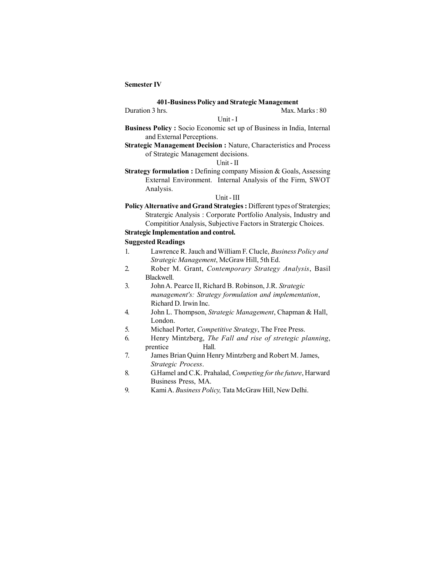#### **Semester IV**

#### **401-Business Policy and Strategic Management**

#### Duration 3 hrs. Max. Marks: 80

Unit - I

- **Business Policy :** Socio Economic set up of Business in India, Internal and External Perceptions.
- **Strategic Management Decision : Nature, Characteristics and Process** of Strategic Management decisions.

# Unit - II

**Strategy formulation :** Defining company Mission & Goals, Assessing External Environment. Internal Analysis of the Firm, SWOT Analysis.

#### Unit - III

**Policy Alternative and Grand Strategies :** Different types of Stratergies; Stratergic Analysis : Corporate Portfolio Analysis, Industry and Compititior Analysis, Subjective Factors in Stratergic Choices.

# **Strategic Implementation and control.**

- 1. Lawrence R. Jauch and William F. Clucle, *Business Policy and Strategic Management*, McGraw Hill, 5th Ed.
- 2. Rober M. Grant, *Contemporary Strategy Analysis*, Basil Blackwell.
- 3. John A. Pearce II, Richard B. Robinson, J.R. *Strategic management's: Strategy formulation and implementation*, Richard D. Irwin Inc.
- 4. John L. Thompson, *Strategic Management*, Chapman & Hall, London.
- 5. Michael Porter, *Competitive Strategy*, The Free Press.
- 6. Henry Mintzberg, *The Fall and rise of stretegic planning*, prentice Hall.
- 7. James Brian Quinn Henry Mintzberg and Robert M. James, *Strategic Process*.
- 8. G.Hamel and C.K. Prahalad, *Competing for the future*, Harward Business Press, MA.
- 9. Kami A. *Business Policy,* Tata McGraw Hill, New Delhi.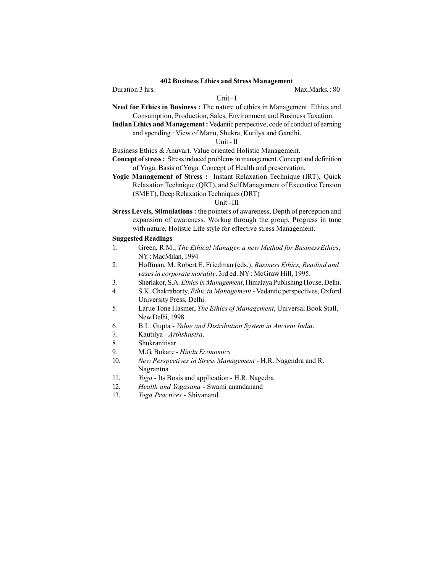# **402 Business Ethics and Stress Management**

Unit - I

Duration 3 hrs. Max.Marks.: 80

- **Need for Ethics in Business :** The nature of ethics in Management. Ethics and Consumption, Production, Sales, Environment and Business Taxation.
	- **Indian Ethics and Management :** Vedantic perspective, code of conduct of earning and spending : View of Manu, Shukra, Kutilya and Gandhi.

# Unit - II

- Business Ethics & Anuvart. Value oriented Holistic Management.
- **Concept of stress :** Stress induced problems in management. Concept and definition of Yoga. Basis of Yoga. Concept of Health and preservation.
- **Yogic Management of Stress :** Instant Relaxation Technique (IRT), Quick Relaxation Technique (QRT), and Self Management of Executive Tension (SMET), Deep Relaxation Techniques (DRT)

# Unit - III

**Stress Levels, Stimulations :** the pointers of awareness, Depth of perception and expansion of awareness. Workng through the group. Progress in tune with nature, Holistic Life style for effective stress Management.

- 1. Green, R.M., *The Ethical Manager, a new Method for BusinessEthics*, NY : MacMilan, 1994
- 2. Hoffman, M. Robert E. Friedman (eds.), *Business Ethics, Readind and vases in corporate morality*. 3rd ed. NY : McGraw Hill, 1995.
- 3. Sherlakor, S.A. *Ethics in Management*, Himalaya Publishing House, Delhi.
- 4. S.K. Chakraborty, *Ethic in Management* Vedantic perspectives, Oxford University Press, Delhi.
- 5. Larue Tone Hasmer, *The Ethics of Management*, Universal Book Stall, New Delhi, 1998.
- 6. B.L. Gupta *Value and Distribution System in Ancient India*.
- 7. Kautilya *Arthshastra*.
- 8. Shukranitisar
- 9. M.G. Bokare *Hindu Economics*
- 10. *New Perspectives in Stress Management* H.R. Nagendra and R. Nagrantna
- 11. *Yoga*  Its Bosis and application H.R. Nagedra
- 12. *Health and Yogasana*  Swami anandanand
- 13. *Yoga Practices* Shivanand.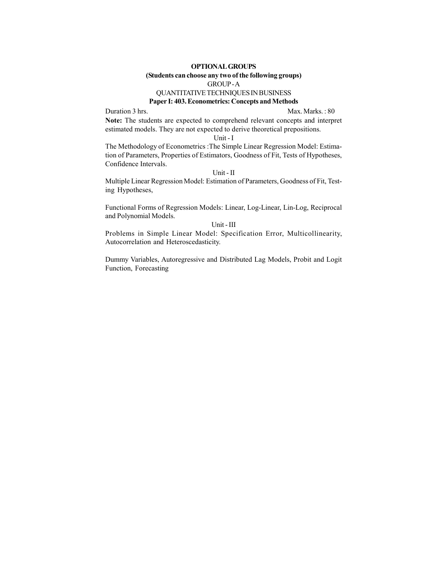# **OPTIONAL GROUPS (Students can choose any two of the following groups)** GROUP - A QUANTITATIVE TECHNIQUES IN BUSINESS

# **Paper I: 403. Econometrics: Concepts and Methods**

Duration 3 hrs. Max. Marks.: 80

**Note:** The students are expected to comprehend relevant concepts and interpret estimated models. They are not expected to derive theoretical prepositions.

Unit - I

The Methodology of Econometrics :The Simple Linear Regression Model: Estimation of Parameters, Properties of Estimators, Goodness of Fit, Tests of Hypotheses, Confidence Intervals.

Unit - II

Multiple Linear Regression Model: Estimation of Parameters, Goodness of Fit, Testing Hypotheses,

Functional Forms of Regression Models: Linear, Log-Linear, Lin-Log, Reciprocal and Polynomial Models.

Unit - III

Problems in Simple Linear Model: Specification Error, Multicollinearity, Autocorrelation and Heteroscedasticity.

Dummy Variables, Autoregressive and Distributed Lag Models, Probit and Logit Function, Forecasting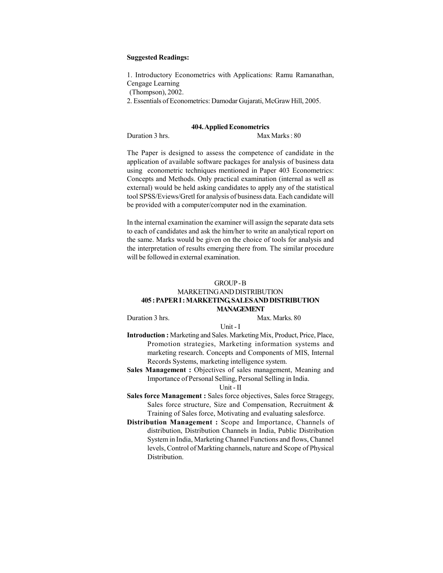#### **Suggested Readings:**

1. Introductory Econometrics with Applications: Ramu Ramanathan, Cengage Learning

(Thompson), 2002.

2. Essentials of Econometrics: Damodar Gujarati, McGraw Hill, 2005.

#### **404. Applied Econometrics**

Duration 3 hrs. Max Marks: 80

The Paper is designed to assess the competence of candidate in the application of available software packages for analysis of business data using econometric techniques mentioned in Paper 403 Econometrics: Concepts and Methods. Only practical examination (internal as well as external) would be held asking candidates to apply any of the statistical tool SPSS/Eviews/Gretl for analysis of business data. Each candidate will be provided with a computer/computer nod in the examination.

In the internal examination the examiner will assign the separate data sets to each of candidates and ask the him/her to write an analytical report on the same. Marks would be given on the choice of tools for analysis and the interpretation of results emerging there from. The similar procedure will be followed in external examination.

#### GROUP - B

#### MARKETING AND DISTRIBUTION **405 : PAPER I : MARKETING, SALES AND DISTRIBUTION MANAGEMENT**

Duration 3 hrs. Max. Marks. 80

Unit - I

- **Introduction :** Marketing and Sales. Marketing Mix, Product, Price, Place, Promotion strategies, Marketing information systems and marketing research. Concepts and Components of MIS, Internal Records Systems, marketing intelligence system.
- Sales Management : Objectives of sales management, Meaning and Importance of Personal Selling, Personal Selling in India.

#### Unit - II

- **Sales force Management :** Sales force objectives, Sales force Stragegy, Sales force structure, Size and Compensation, Recruitment & Training of Sales force, Motivating and evaluating salesforce.
- **Distribution Management :** Scope and Importance, Channels of distribution, Distribution Channels in India, Public Distribution System in India, Marketing Channel Functions and flows, Channel levels, Control of Markting channels, nature and Scope of Physical Distribution.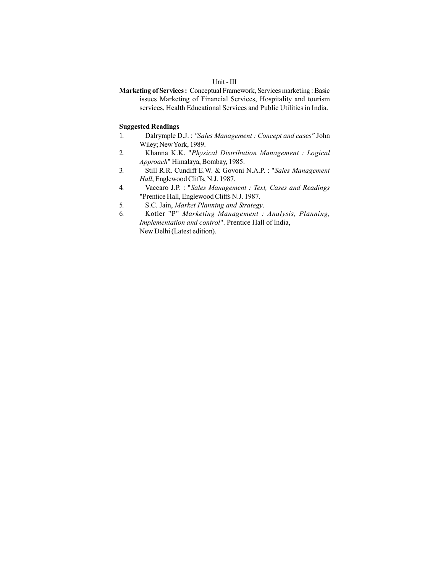# Unit - III

**Marketing of Services :** Conceptual Framework, Services marketing : Basic issues Marketing of Financial Services, Hospitality and tourism services, Health Educational Services and Public Utilities in India.

- 1. Dalrymple D.J. : *"Sales Management : Concept and cases"* John Wiley; New York, 1989.
- 2. Khanna K.K. "*Physical Distribution Management : Logical Approach*" Himalaya, Bombay, 1985.
- 3. Still R.R. Cundiff E.W. & Govoni N.A.P. : "*Sales Management Hall*, Englewood Cliffs, N.J. 1987.
- 4. Vaccaro J.P. : "*Sales Management : Text, Cases and Readings* "Prentice Hall, Englewood Cliffs N.J. 1987.
- 5. S.C. Jain, *Market Planning and Strategy*.
- 6. Kotler "P" *Marketing Management : Analysis, Planning, Implementation and control*". Prentice Hall of India, New Delhi (Latest edition).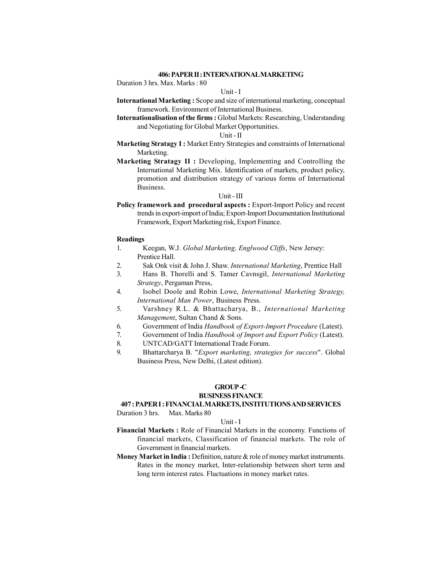#### **406: PAPER II : INTERNATIONAL MARKETING**

Duration 3 hrs. Max. Marks : 80

#### Unit - I

- **International Marketing :** Scope and size of international marketing, conceptual framework. Environment of International Business.
- **Internationalisation of the firms :** Global Markets: Researching, Understanding and Negotiating for Global Market Opportunities.

#### Unit - II

- **Marketing Stratagy I:** Market Entry Strategies and constraints of International Marketing.
- **Marketing Stratagy II :** Developing, Implementing and Controlling the International Marketing Mix. Identification of markets, product policy, promotion and distribution strategy of various forms of International Business.

#### Unit - III

Policy framework and procedural aspects : Export-Import Policy and recent trends in export-import of India; Export-Import Documentation Institutional Framework, Export Marketing risk, Export Finance.

#### **Readings**

- 1. Keegan, W.J. *Global Marketing, Englwood Cliffs*, New Jersey: Prentice Hall.
- 2. Sak Onk visit & John J. Shaw. *International Marketing*, Prentice Hall
- 3. Hans B. Thorelli and S. Tamer Cavnsgil, *International Marketing Strategy*, Pergaman Press,
- 4. Isobel Doole and Robin Lowe, *International Marketing Strategy, International Man Power*, Business Press.
- 5. Varshney R.L. & Bhattacharya, B., *International Marketing Management*, Sultan Chand & Sons.
- 6. Government of India *Handbook of Export-Import Procedure* (Latest).
- 7. Government of India *Handbook of Import and Export Policy* (Latest).
- 8. UNTCAD/GATT International Trade Forum.
- 9. Bhattarcharya B. "*Export marketing, strategies for success*". Global Business Press, New Delhi, (Latest edition).

#### **GROUP -C**

#### **BUSINESS FINANCE**

# **407 : PAPER I : FINANCIAL MARKETS, INSTITUTIONS AND SERVICES**

Duration 3 hrs. Max. Marks 80

#### Unit - I

- **Financial Markets :** Role of Financial Markets in the economy. Functions of financial markets, Classification of financial markets. The role of Government in financial markets.
- **Money Market in India :** Definition, nature & role of money market instruments. Rates in the money market, Inter-relationship between short term and long term interest rates. Fluctuations in money market rates.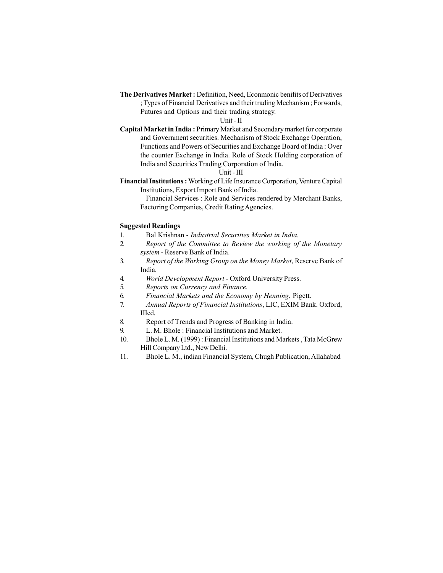**The Derivatives Market :** Definition, Need, Econmonic benifits of Derivatives ; Types of Financial Derivatives and their trading Mechanism ; Forwards, Futures and Options and their trading strategy.

#### Unit - II

**Capital Market in India :** Primary Market and Secondary market for corporate and Government securities. Mechanism of Stock Exchange Operation, Functions and Powers of Securities and Exchange Board of India : Over the counter Exchange in India. Role of Stock Holding corporation of India and Securities Trading Corporation of India.

## Unit - III

**Financial Institutions :** Working of Life Insurance Corporation, Venture Capital Institutions, Export Import Bank of India.

Financial Services : Role and Services rendered by Merchant Banks, Factoring Companies, Credit Rating Agencies.

- 1. Bal Krishnan *Industrial Securities Market in India.*
- 2. *Report of the Committee to Review the working of the Monetary system* - Reserve Bank of India.
- 3. *Report of the Working Group on the Money Market*, Reserve Bank of India.
- 4. *World Development Report* Oxford University Press.
- 5. *Reports on Currency and Finance.*
- 6. *Financial Markets and the Economy by Henning*, Pigett.
- 7. *Annual Reports of Financial Institutions*, LIC, EXIM Bank. Oxford, IIIed.
- 8. Report of Trends and Progress of Banking in India.
- 9. L. M. Bhole : Financial Institutions and Market.
- 10. Bhole L. M. (1999) : Financial Institutions and Markets , Tata McGrew Hill Company Ltd., New Delhi.
- 11. Bhole L. M., indian Financial System, Chugh Publication, Allahabad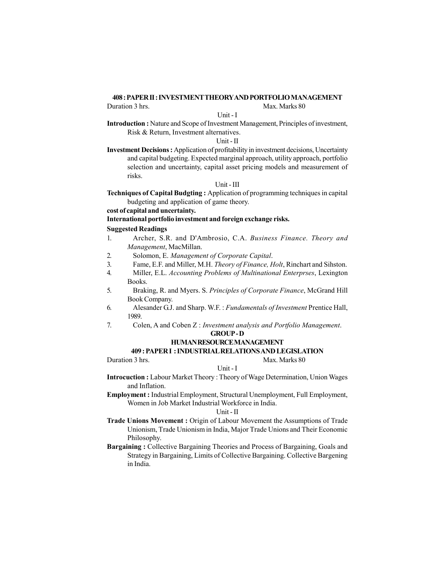#### **408 : PAPER II : INVESTMENT THEORY AND PORTFOLIO MANAGEMENT**

Duration 3 hrs. Max. Marks 80

#### Unit - I

**Introduction :** Nature and Scope of Investment Management, Principles of investment, Risk & Return, Investment alternatives.

Unit - II

**Investment Decisions :** Application of profitability in investment decisions, Uncertainty and capital budgeting. Expected marginal approach, utility approach, portfolio selection and uncertainty, capital asset pricing models and measurement of risks.

### Unit - III

**Techniques of Capital Budgting :** Application of programming techniques in capital budgeting and application of game theory.

**cost of capital and uncertainty.**

**International portfolio investment and foreign exchange risks.**

# **Suggested Readings**

- 1. Archer, S.R. and D'Ambrosio, C.A. *Business Finance. Theory and Management*, MacMillan.
- 2. Solomon, E. *Management of Corporate Capital*.
- 3. Fame, E.F. and Miller, M.H. *Theory of Finance, Holt*, Rinchart and Sihston.
- 4. Miller, E.L. *Accounting Problems of Multinational Enterprses*, Lexington Books.
- 5. Braking, R. and Myers. S. *Principles of Corporate Finance*, McGrand Hill Book Company.
- 6. Alesander G.J. and Sharp. W.F. : *Fundamentals of Investment* Prentice Hall, 1989.
- 7. Colen, A and Coben Z : *Investment analysis and Portfolio Management*.

#### **GROUP - D HUMAN RESOURCE MANAGEMENT**

# **409 : PAPER I : INDUSTRIAL RELATIONS AND LEGISLATION**

Duration 3 hrs. Max. Marks 80

#### Unit - I

**Introcuction :** Labour Market Theory : Theory of Wage Determination, Union Wages and Inflation.

**Employment :** Industrial Employment, Structural Unemployment, Full Employment, Women in Job Market Industrial Workforce in India.

#### Unit - II

**Trade Unions Movement :** Origin of Labour Movement the Assumptions of Trade Unionism, Trade Unionism in India, Major Trade Unions and Their Economic Philosophy.

**Bargaining :** Collective Bargaining Theories and Process of Bargaining, Goals and Strategy in Bargaining, Limits of Collective Bargaining. Collective Bargening in India.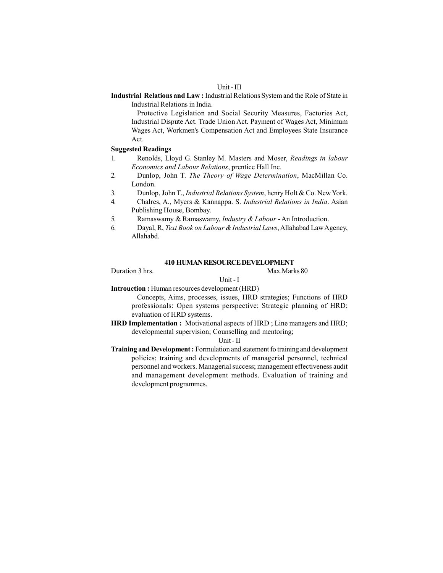#### Unit - III

**Industrial Relations and Law :** Industrial Relations System and the Role of State in Industrial Relations in India.

Protective Legislation and Social Security Measures, Factories Act, Industrial Dispute Act. Trade Union Act. Payment of Wages Act, Minimum Wages Act, Workmen's Compensation Act and Employees State Insurance Act.

#### **Suggested Readings**

- 1. Renolds, Lloyd G. Stanley M. Masters and Moser, *Readings in labour Economics and Labour Relations*, prentice Hall Inc.
- 2. Dunlop, John T. *The Theory of Wage Determination*, MacMillan Co. London.
- 3. Dunlop, John T., *Industrial Relations System*, henry Holt & Co. New York.
- 4. Chalres, A., Myers & Kannappa. S. *Industrial Relations in India*. Asian Publishing House, Bombay.
- 5. Ramaswamy & Ramaswamy, *Industry & Labour* An Introduction.
- 6. Dayal, R, *Text Book on Labour & Industrial Laws*, Allahabad Law Agency, Allahabd.

#### **410 HUMAN RESOURCE DEVELOPMENT**

Duration 3 hrs. Max.Marks 80

#### Unit - I

**Introuction :** Human resources development (HRD)

Concepts, Aims, processes, issues, HRD strategies; Functions of HRD professionals: Open systems perspective; Strategic planning of HRD; evaluation of HRD systems.

**HRD Implementation :** Motivational aspects of HRD ; Line managers and HRD; developmental supervision; Counselling and mentoring;

#### Unit - II

**Training and Development :** Formulation and statement fo training and development policies; training and developments of managerial personnel, technical personnel and workers. Managerial success; management effectiveness audit and management development methods. Evaluation of training and development programmes.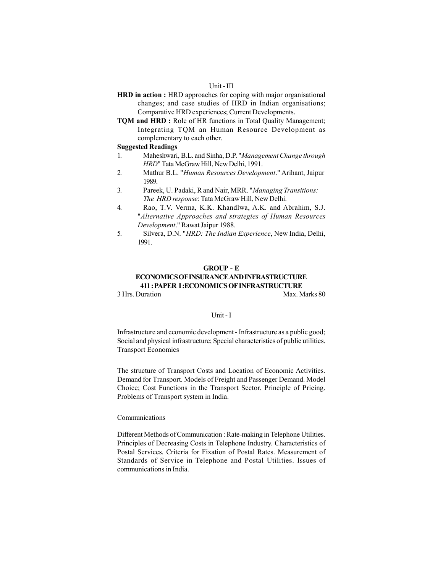#### Unit - III

- **HRD in action :** HRD approaches for coping with major organisational changes; and case studies of HRD in Indian organisations; Comparative HRD experiences; Current Developments.
- **TQM and HRD :** Role of HR functions in Total Quality Management; Integrating TQM an Human Resource Development as complementary to each other.

#### **Suggested Readings**

- 1. Maheshwari, B.L. and Sinha, D.P. "*Management Change through HRD*" Tata McGraw Hill, New Delhi, 1991.
- 2. Mathur B.L. "*Human Resources Development*." Arihant, Jaipur 1989.
- 3. Pareek, U. Padaki, R and Nair, MRR. "*Managing Transitions: The HRD response*: Tata McGraw Hill, New Delhi.
- 4. Rao, T.V. Verma, K.K. Khandlwa, A.K. and Abrahim, S.J. "*Alternative Approaches and strategies of Human Resources Development*." Rawat Jaipur 1988.
- 5. Silvera, D.N. "*HRD: The Indian Experience*, New India, Delhi, 1991.

#### **GROUP - E ECONOMICS OF INSURANCE AND INFRASTRUCTURE 411 : PAPER I :ECONOMICS OF INFRASTRUCTURE** 3 Hrs. Duration Max. Marks 80

#### Unit - I

Infrastructure and economic development - Infrastructure as a public good; Social and physical infrastructure; Special characteristics of public utilities. Transport Economics

The structure of Transport Costs and Location of Economic Activities. Demand for Transport. Models of Freight and Passenger Demand. Model Choice; Cost Functions in the Transport Sector. Principle of Pricing. Problems of Transport system in India.

#### Communications

Different Methods of Communication : Rate-making in Telephone Utilities. Principles of Decreasing Costs in Telephone Industry. Characteristics of Postal Services. Criteria for Fixation of Postal Rates. Measurement of Standards of Service in Telephone and Postal Utilities. Issues of communications in India.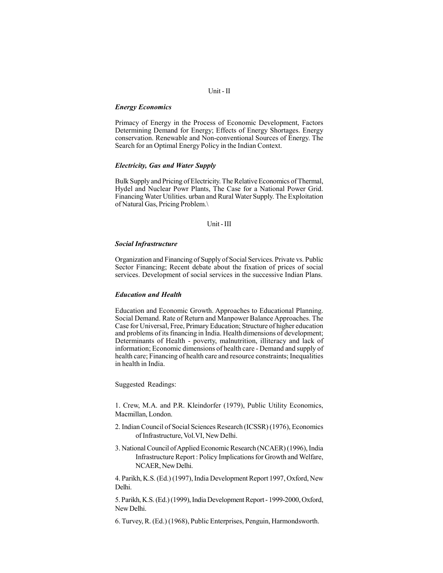# Unit - II

#### *Energy Economics*

Primacy of Energy in the Process of Economic Development, Factors Determining Demand for Energy; Effects of Energy Shortages. Energy conservation. Renewable and Non-conventional Sources of Energy. The Search for an Optimal Energy Policy in the Indian Context.

#### *Electricity, Gas and Water Supply*

Bulk Supply and Pricing of Electricity. The Relative Economics of Thermal, Hydel and Nuclear Powr Plants, The Case for a National Power Grid. Financing Water Utilities. urban and Rural Water Supply. The Exploitation of Natural Gas, Pricing Problem.\

#### Unit - III

#### *Social Infrastructure*

Organization and Financing of Supply of Social Services. Private vs. Public Sector Financing; Recent debate about the fixation of prices of social services. Development of social services in the successive Indian Plans.

#### *Education and Health*

Education and Economic Growth. Approaches to Educational Planning. Social Demand. Rate of Return and Manpower Balance Approaches. The Case for Universal, Free, Primary Education; Structure of higher education and problems of its financing in India. Health dimensions of development; Determinants of Health - poverty, malnutrition, illiteracy and lack of information; Economic dimensions of health care - Demand and supply of health care; Financing of health care and resource constraints; Inequalities in health in India.

Suggested Readings:

1. Crew, M.A. and P.R. Kleindorfer (1979), Public Utility Economics, Macmillan, London.

- 2. Indian Council of Social Sciences Research (ICSSR) (1976), Economics of Infrastructure, Vol.VI, New Delhi.
- 3. National Council of Applied Economic Research (NCAER) (1996), India Infrastructure Report : Policy Implications for Growth and Welfare, NCAER, New Delhi.

4. Parikh, K.S. (Ed.) (1997), India Development Report 1997, Oxford, New Delhi.

5. Parikh, K.S. (Ed.) (1999), India Development Report - 1999-2000, Oxford, New Delhi.

6. Turvey, R. (Ed.) (1968), Public Enterprises, Penguin, Harmondsworth.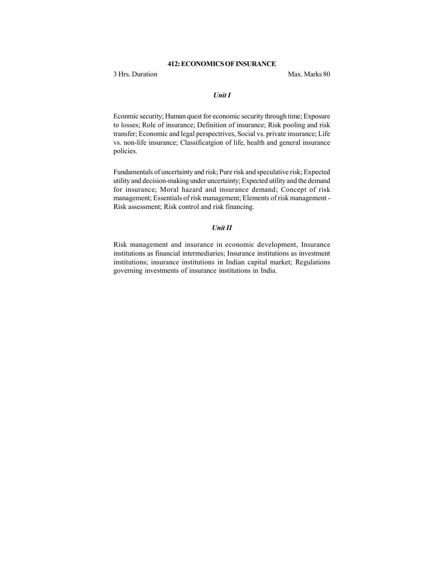# **412: ECONOMICS OF INSURANCE**

3 Hrs. Duration Max. Marks 80

#### *Unit I*

Econmic security; Human quest for economic security through time; Exposure to losses; Role of insurance; Definition of insurance; Risk pooling and risk transfer; Economic and legal perspectrives, Social vs. private insurance; Life vs. non-life insurance; Classificatgion of life, health and general insurance policies.

Fundamentals of uncertainty and risk; Pure risk and speculative risk; Expected utility and decision-making under uncertainty; Expected utility and the demand for insurance; Moral hazard and insurance demand; Concept of risk management; Essentials of risk management; Elements of risk management - Risk assessment; Risk control and risk financing.

#### *Unit II*

Risk management and insurance in economic development, Insurance institutions as financial intermediaries; Insurance institutions as investment institutions; insurance institutions in Indian capital market; Regulations governing investments of insurance institutions in India.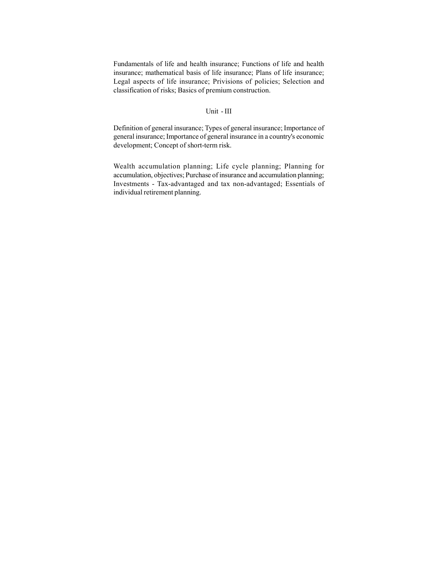Fundamentals of life and health insurance; Functions of life and health insurance; mathematical basis of life insurance; Plans of life insurance; Legal aspects of life insurance; Privisions of policies; Selection and classification of risks; Basics of premium construction.

#### Unit - III

Definition of general insurance; Types of general insurance; Importance of general insurance; Importance of general insurance in a country's economic development; Concept of short-term risk.

Wealth accumulation planning; Life cycle planning; Planning for accumulation, objectives; Purchase of insurance and accumulation planning; Investments - Tax-advantaged and tax non-advantaged; Essentials of individual retirement planning.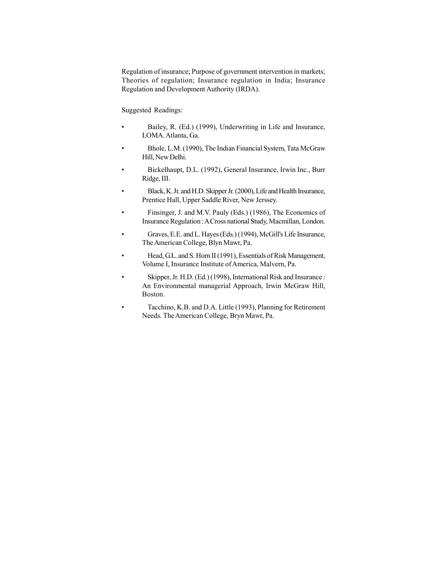Regulation of insurance; Purpose of government intervention in markets; Theories of regulation; Insurance regulation in India; Insurance Regulation and Development Authority (IRDA).

- Bailey, R. (Ed.) (1999), Underwriting in Life and Insurance, LOMA. Atlanta, Ga.
- Bhole, L.M. (1990), The Indian Financial System, Tata McGraw Hill, New Delhi.
- Bickelhaupt, D.L. (1992), General Insurance, Irwin Inc., Burr Ridge, III.
- Black, K. Jr. and H.D. Skipper Jr. (2000), Life and Health Insurance, Prentice Hall, Upper Saddle River, New Jerssey.
- Finsinger, J. and M.V. Pauly (Eds.) (1986), The Economics of Insurance Regulation : A Cross national Study, Macmillan, London.
- Graves, E.E. and L. Hayes (Eds.) (1994), McGill's Life Insurance, The American College, Blyn Mawr, Pa.
- Head, G.L. and S. Horn II (1991), Essentials of Risk Management, Volume I, Insurance Institute of America, Malvern, Pa.
- Skipper, Jr. H.D. (Ed.) (1998), International Risk and Insurance : An Environmental managerial Approach, Irwin McGraw Hill, Boston.
- Tacchino, K.B. and D.A. Little (1993), Planning for Retirement Needs. The American College, Bryn Mawr, Pa.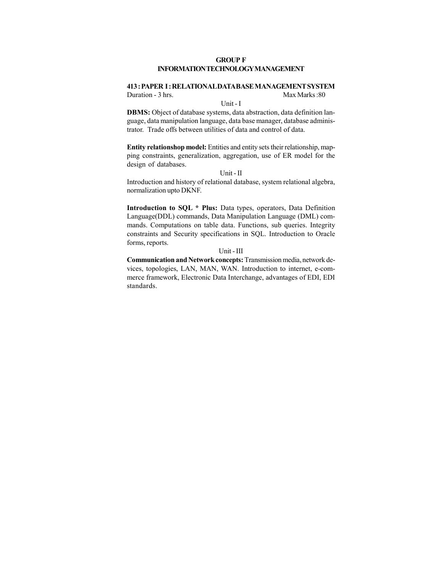#### **GROUP F INFORMATION TECHNOLOGY MANAGEMENT**

# **413 : PAPER I : RELATIONAL DATA BASE MANAGEMENT SYSTEM**

Unit - I

Duration - 3 hrs. Max Marks : 80

**DBMS:** Object of database systems, data abstraction, data definition language, data manipulation language, data base manager, database administrator. Trade offs between utilities of data and control of data.

**Entity relationshop model:** Entities and entity sets their relationship, mapping constraints, generalization, aggregation, use of ER model for the design of databases.

## Unit - II

Introduction and history of relational database, system relational algebra, normalization upto DKNF.

**Introduction to SQL \* Plus:** Data types, operators, Data Definition Language(DDL) commands, Data Manipulation Language (DML) commands. Computations on table data. Functions, sub queries. Integrity constraints and Security specifications in SQL. Introduction to Oracle forms, reports.

#### Unit - III

**Communication and Network concepts:** Transmission media, network devices, topologies, LAN, MAN, WAN. Introduction to internet, e-commerce framework, Electronic Data Interchange, advantages of EDI, EDI standards.